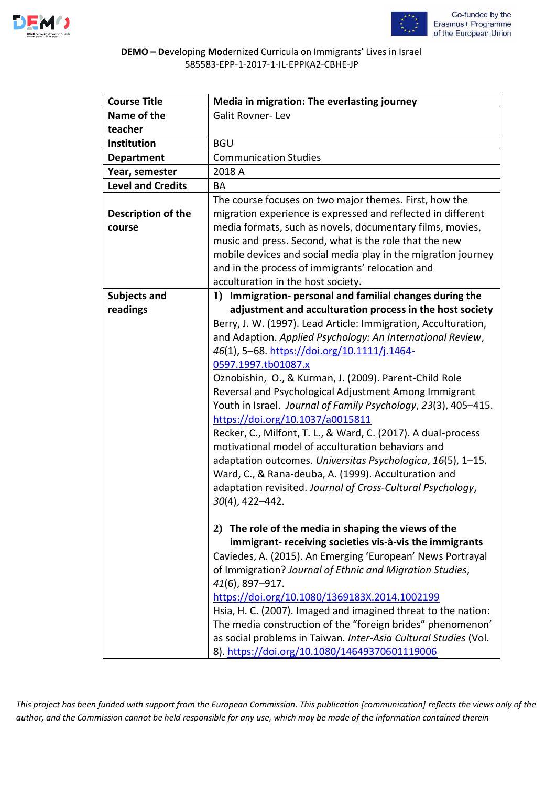



## **DEMO – De**veloping **Mo**dernized Curricula on Immigrants' Lives in Israel 585583-EPP-1-2017-1-IL-EPPKA2-CBHE-JP

| <b>Course Title</b>      | Media in migration: The everlasting journey                                                                            |
|--------------------------|------------------------------------------------------------------------------------------------------------------------|
| Name of the              | <b>Galit Rovner-Lev</b>                                                                                                |
| teacher                  |                                                                                                                        |
| Institution              | <b>BGU</b>                                                                                                             |
| <b>Department</b>        | <b>Communication Studies</b>                                                                                           |
| Year, semester           | 2018 A                                                                                                                 |
| <b>Level and Credits</b> | BA                                                                                                                     |
| Description of the       | The course focuses on two major themes. First, how the<br>migration experience is expressed and reflected in different |
| course                   | media formats, such as novels, documentary films, movies,                                                              |
|                          | music and press. Second, what is the role that the new                                                                 |
|                          | mobile devices and social media play in the migration journey                                                          |
|                          | and in the process of immigrants' relocation and                                                                       |
|                          | acculturation in the host society.                                                                                     |
| <b>Subjects and</b>      | 1) Immigration- personal and familial changes during the                                                               |
| readings                 | adjustment and acculturation process in the host society                                                               |
|                          | Berry, J. W. (1997). Lead Article: Immigration, Acculturation,                                                         |
|                          | and Adaption. Applied Psychology: An International Review,                                                             |
|                          | 46(1), 5-68. https://doi.org/10.1111/j.1464-                                                                           |
|                          | 0597.1997.tb01087.x                                                                                                    |
|                          | Oznobishin, O., & Kurman, J. (2009). Parent-Child Role                                                                 |
|                          | Reversal and Psychological Adjustment Among Immigrant                                                                  |
|                          | Youth in Israel. Journal of Family Psychology, 23(3), 405-415.                                                         |
|                          | https://doi.org/10.1037/a0015811                                                                                       |
|                          | Recker, C., Milfont, T. L., & Ward, C. (2017). A dual-process                                                          |
|                          | motivational model of acculturation behaviors and                                                                      |
|                          | adaptation outcomes. Universitas Psychologica, 16(5), 1-15.                                                            |
|                          | Ward, C., & Rana-deuba, A. (1999). Acculturation and                                                                   |
|                          | adaptation revisited. Journal of Cross-Cultural Psychology,                                                            |
|                          | $30(4)$ , 422-442.                                                                                                     |
|                          |                                                                                                                        |
|                          | 2) The role of the media in shaping the views of the<br>immigrant- receiving societies vis-à-vis the immigrants        |
|                          | Caviedes, A. (2015). An Emerging 'European' News Portrayal                                                             |
|                          | of Immigration? Journal of Ethnic and Migration Studies,                                                               |
|                          | 41(6), 897-917.                                                                                                        |
|                          | https://doi.org/10.1080/1369183X.2014.1002199                                                                          |
|                          | Hsia, H. C. (2007). Imaged and imagined threat to the nation:                                                          |
|                          | The media construction of the "foreign brides" phenomenon'                                                             |
|                          | as social problems in Taiwan. Inter-Asia Cultural Studies (Vol.                                                        |
|                          | 8). https://doi.org/10.1080/14649370601119006                                                                          |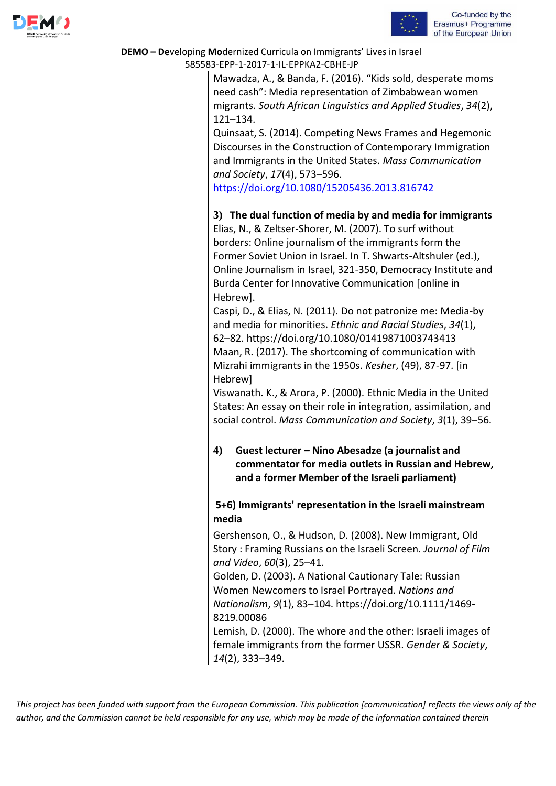



| <b>DEMO - Developing Modernized Curricula on Immigrants' Lives in Israel</b><br>585583-EPP-1-2017-1-IL-EPPKA2-CBHE-JP |                                                                                                                              |  |
|-----------------------------------------------------------------------------------------------------------------------|------------------------------------------------------------------------------------------------------------------------------|--|
|                                                                                                                       | Mawadza, A., & Banda, F. (2016). "Kids sold, desperate moms                                                                  |  |
|                                                                                                                       | need cash": Media representation of Zimbabwean women                                                                         |  |
|                                                                                                                       | migrants. South African Linguistics and Applied Studies, 34(2),                                                              |  |
|                                                                                                                       | $121 - 134.$                                                                                                                 |  |
|                                                                                                                       | Quinsaat, S. (2014). Competing News Frames and Hegemonic                                                                     |  |
|                                                                                                                       | Discourses in the Construction of Contemporary Immigration                                                                   |  |
|                                                                                                                       | and Immigrants in the United States. Mass Communication                                                                      |  |
|                                                                                                                       | and Society, 17(4), 573-596.                                                                                                 |  |
|                                                                                                                       | https://doi.org/10.1080/15205436.2013.816742                                                                                 |  |
|                                                                                                                       |                                                                                                                              |  |
|                                                                                                                       | 3) The dual function of media by and media for immigrants                                                                    |  |
|                                                                                                                       | Elias, N., & Zeltser-Shorer, M. (2007). To surf without                                                                      |  |
|                                                                                                                       | borders: Online journalism of the immigrants form the                                                                        |  |
|                                                                                                                       | Former Soviet Union in Israel. In T. Shwarts-Altshuler (ed.),                                                                |  |
|                                                                                                                       | Online Journalism in Israel, 321-350, Democracy Institute and                                                                |  |
|                                                                                                                       | Burda Center for Innovative Communication [online in                                                                         |  |
|                                                                                                                       | Hebrew].                                                                                                                     |  |
|                                                                                                                       | Caspi, D., & Elias, N. (2011). Do not patronize me: Media-by                                                                 |  |
|                                                                                                                       | and media for minorities. Ethnic and Racial Studies, 34(1),                                                                  |  |
|                                                                                                                       | 62-82. https://doi.org/10.1080/01419871003743413                                                                             |  |
|                                                                                                                       | Maan, R. (2017). The shortcoming of communication with                                                                       |  |
|                                                                                                                       | Mizrahi immigrants in the 1950s. Kesher, (49), 87-97. [in                                                                    |  |
|                                                                                                                       | Hebrew]                                                                                                                      |  |
|                                                                                                                       | Viswanath. K., & Arora, P. (2000). Ethnic Media in the United                                                                |  |
|                                                                                                                       | States: An essay on their role in integration, assimilation, and                                                             |  |
|                                                                                                                       | social control. Mass Communication and Society, 3(1), 39-56.                                                                 |  |
|                                                                                                                       |                                                                                                                              |  |
|                                                                                                                       | $\boldsymbol{4}$<br>Guest lecturer - Nino Abesadze (a journalist and<br>commentator for media outlets in Russian and Hebrew, |  |
|                                                                                                                       | and a former Member of the Israeli parliament)                                                                               |  |
|                                                                                                                       |                                                                                                                              |  |
|                                                                                                                       | 5+6) Immigrants' representation in the Israeli mainstream                                                                    |  |
|                                                                                                                       | media                                                                                                                        |  |
|                                                                                                                       | Gershenson, O., & Hudson, D. (2008). New Immigrant, Old                                                                      |  |
|                                                                                                                       | Story: Framing Russians on the Israeli Screen. Journal of Film                                                               |  |
|                                                                                                                       | and Video, 60(3), 25-41.                                                                                                     |  |
|                                                                                                                       | Golden, D. (2003). A National Cautionary Tale: Russian                                                                       |  |
|                                                                                                                       | Women Newcomers to Israel Portrayed. Nations and                                                                             |  |
|                                                                                                                       | Nationalism, 9(1), 83-104. https://doi.org/10.1111/1469-                                                                     |  |
|                                                                                                                       | 8219.00086                                                                                                                   |  |
|                                                                                                                       | Lemish, D. (2000). The whore and the other: Israeli images of                                                                |  |
|                                                                                                                       | female immigrants from the former USSR. Gender & Society,                                                                    |  |
|                                                                                                                       | 14(2), 333-349.                                                                                                              |  |
|                                                                                                                       |                                                                                                                              |  |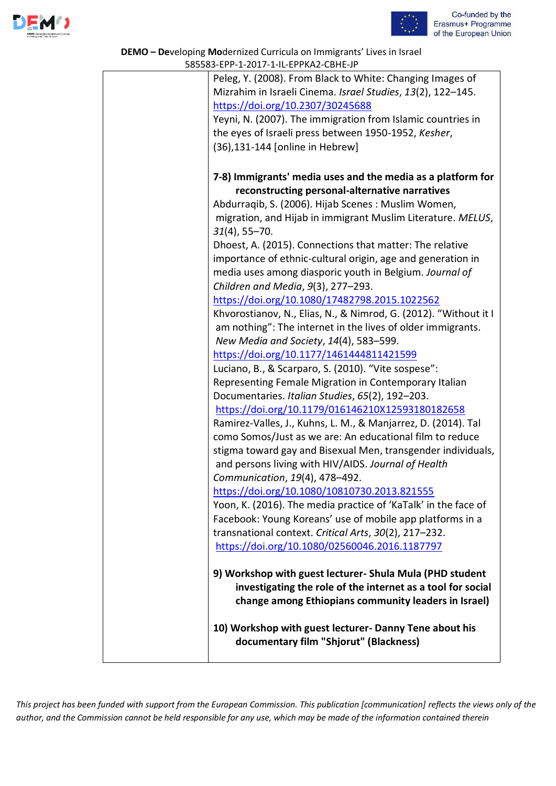



## **DEMO – De**veloping **Mo**dernized Curricula on Immigrants' Lives in Israel 585583-EPP-1-2017-1-IL-EPPKA2-CBHE-JP

| $303303$ LIT I 2017 IT LITTING CDITE JI                          |
|------------------------------------------------------------------|
| Peleg, Y. (2008). From Black to White: Changing Images of        |
| Mizrahim in Israeli Cinema. Israel Studies, 13(2), 122-145.      |
| https://doi.org/10.2307/30245688                                 |
| Yeyni, N. (2007). The immigration from Islamic countries in      |
| the eyes of Israeli press between 1950-1952, Kesher,             |
| (36), 131-144 [online in Hebrew]                                 |
|                                                                  |
| 7-8) Immigrants' media uses and the media as a platform for      |
| reconstructing personal-alternative narratives                   |
| Abdurraqib, S. (2006). Hijab Scenes: Muslim Women,               |
| migration, and Hijab in immigrant Muslim Literature. MELUS,      |
| $31(4)$ , 55-70.                                                 |
| Dhoest, A. (2015). Connections that matter: The relative         |
| importance of ethnic-cultural origin, age and generation in      |
| media uses among diasporic youth in Belgium. Journal of          |
| Children and Media, 9(3), 277-293.                               |
| https://doi.org/10.1080/17482798.2015.1022562                    |
| Khvorostianov, N., Elias, N., & Nimrod, G. (2012). "Without it I |
| am nothing": The internet in the lives of older immigrants.      |
| New Media and Society, 14(4), 583-599.                           |
| https://doi.org/10.1177/1461444811421599                         |
| Luciano, B., & Scarparo, S. (2010). "Vite sospese":              |
| Representing Female Migration in Contemporary Italian            |
| Documentaries. Italian Studies, 65(2), 192-203.                  |
| https://doi.org/10.1179/016146210X12593180182658                 |
| Ramirez-Valles, J., Kuhns, L. M., & Manjarrez, D. (2014). Tal    |
| como Somos/Just as we are: An educational film to reduce         |
| stigma toward gay and Bisexual Men, transgender individuals,     |
| and persons living with HIV/AIDS. Journal of Health              |
| Communication, 19(4), 478-492.                                   |
| https://doi.org/10.1080/10810730.2013.821555                     |
| Yoon, K. (2016). The media practice of 'KaTalk' in the face of   |
| Facebook: Young Koreans' use of mobile app platforms in a        |
| transnational context. Critical Arts, 30(2), 217-232.            |
| https://doi.org/10.1080/02560046.2016.1187797                    |
|                                                                  |
| 9) Workshop with guest lecturer- Shula Mula (PHD student         |
| investigating the role of the internet as a tool for social      |
| change among Ethiopians community leaders in Israel)             |
|                                                                  |
| 10) Workshop with guest lecturer- Danny Tene about his           |
| documentary film "Shjorut" (Blackness)                           |
|                                                                  |